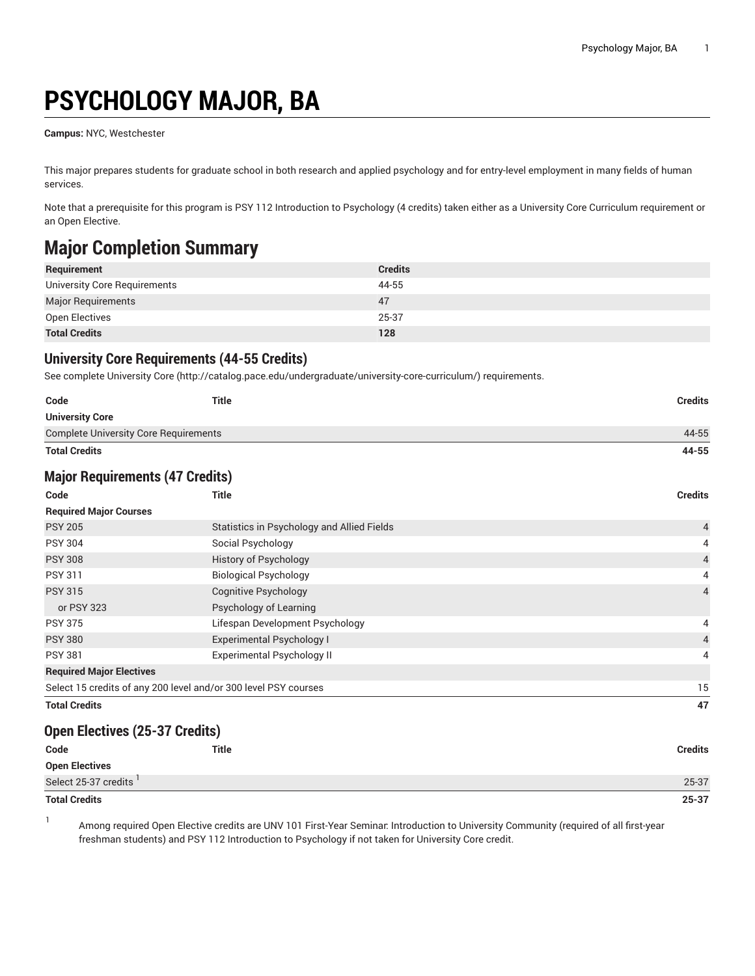# **PSYCHOLOGY MAJOR, BA**

**Campus:** NYC, Westchester

This major prepares students for graduate school in both research and applied psychology and for entry-level employment in many fields of human services.

Note that a prerequisite for this program is PSY 112 Introduction to Psychology (4 credits) taken either as a University Core Curriculum requirement or an Open Elective.

### **Major Completion Summary**

| Requirement                  | <b>Credits</b> |
|------------------------------|----------------|
| University Core Requirements | 44-55          |
| Major Requirements           | 47             |
| Open Electives               | 25-37          |
| <b>Total Credits</b>         | 128            |

#### **University Core Requirements (44-55 Credits)**

See complete [University](http://catalog.pace.edu/undergraduate/university-core-curriculum/) Core (<http://catalog.pace.edu/undergraduate/university-core-curriculum/>) requirements.

| Code                                         | <b>Title</b> | Credits |
|----------------------------------------------|--------------|---------|
| <b>University Core</b>                       |              |         |
| <b>Complete University Core Requirements</b> |              | 44-55   |
| <b>Total Credits</b>                         |              | 44-55   |

#### **Major Requirements (47 Credits)**

| Code                                                            | <b>Title</b>                               | <b>Credits</b> |
|-----------------------------------------------------------------|--------------------------------------------|----------------|
| <b>Required Major Courses</b>                                   |                                            |                |
| <b>PSY 205</b>                                                  | Statistics in Psychology and Allied Fields | $\overline{4}$ |
| <b>PSY 304</b>                                                  | Social Psychology                          | 4              |
| <b>PSY 308</b>                                                  | <b>History of Psychology</b>               | $\overline{4}$ |
| <b>PSY 311</b>                                                  | <b>Biological Psychology</b>               | 4              |
| <b>PSY 315</b>                                                  | Cognitive Psychology                       | $\overline{4}$ |
| or PSY 323                                                      | Psychology of Learning                     |                |
| <b>PSY 375</b>                                                  | Lifespan Development Psychology            | 4              |
| <b>PSY 380</b>                                                  | <b>Experimental Psychology I</b>           | 4              |
| <b>PSY 381</b>                                                  | <b>Experimental Psychology II</b>          | 4              |
| <b>Required Major Electives</b>                                 |                                            |                |
| Select 15 credits of any 200 level and/or 300 level PSY courses |                                            | 15             |
| <b>Total Credits</b>                                            |                                            | 47             |

#### **Open Electives (25-37 Credits)**

| Code                  | <b>Title</b> | <b>Credits</b> |
|-----------------------|--------------|----------------|
| <b>Open Electives</b> |              |                |
| Select 25-37 credits  |              | 25-37          |
| <b>Total Credits</b>  |              | $25 - 37$      |

1

Among required Open Elective credits are UNV 101 First-Year Seminar: Introduction to University Community (required of all first-year freshman students) and PSY 112 Introduction to Psychology if not taken for University Core credit.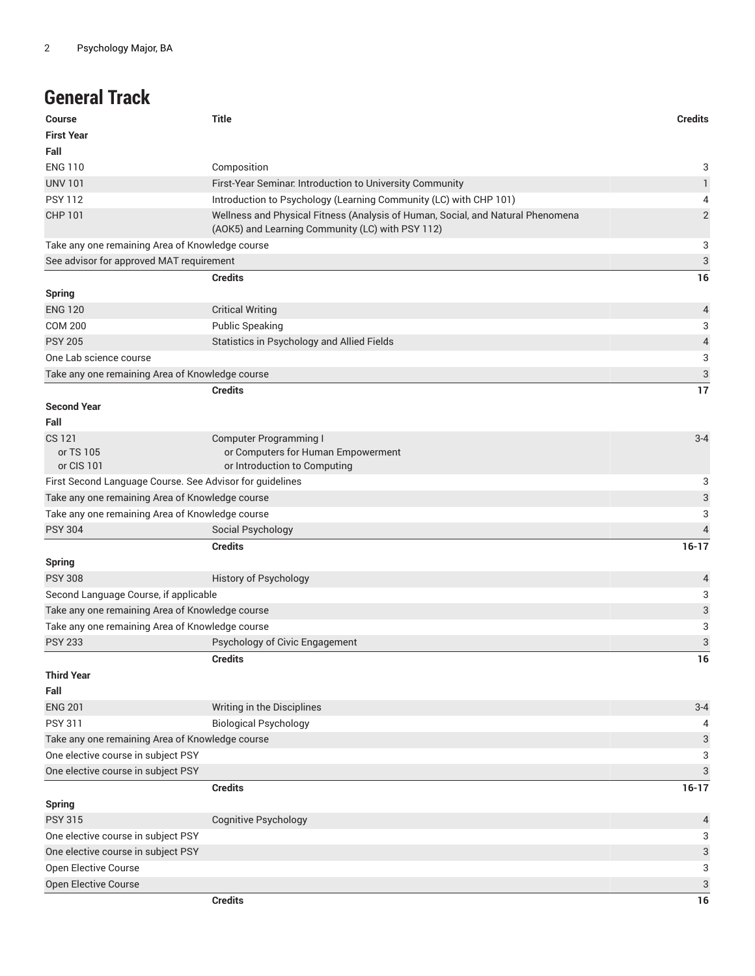### **General Track**

| <b>Course</b>                                            | <b>Title</b>                                                                                                                        | <b>Credits</b> |
|----------------------------------------------------------|-------------------------------------------------------------------------------------------------------------------------------------|----------------|
| <b>First Year</b>                                        |                                                                                                                                     |                |
| Fall                                                     |                                                                                                                                     |                |
| <b>ENG 110</b>                                           | Composition                                                                                                                         | 3              |
| <b>UNV 101</b>                                           | First-Year Seminar. Introduction to University Community                                                                            | $\mathbf{1}$   |
| <b>PSY 112</b>                                           | Introduction to Psychology (Learning Community (LC) with CHP 101)                                                                   | 4              |
| <b>CHP 101</b>                                           | Wellness and Physical Fitness (Analysis of Human, Social, and Natural Phenomena<br>(AOK5) and Learning Community (LC) with PSY 112) | $\overline{2}$ |
| Take any one remaining Area of Knowledge course          |                                                                                                                                     | 3              |
| See advisor for approved MAT requirement                 |                                                                                                                                     | 3              |
|                                                          | <b>Credits</b>                                                                                                                      | 16             |
| <b>Spring</b>                                            |                                                                                                                                     |                |
| <b>ENG 120</b>                                           | <b>Critical Writing</b>                                                                                                             | 4              |
| <b>COM 200</b>                                           | <b>Public Speaking</b>                                                                                                              | 3              |
| <b>PSY 205</b>                                           | Statistics in Psychology and Allied Fields                                                                                          | 4              |
| One Lab science course                                   |                                                                                                                                     | 3              |
| Take any one remaining Area of Knowledge course          |                                                                                                                                     | 3              |
|                                                          | <b>Credits</b>                                                                                                                      | 17             |
| <b>Second Year</b>                                       |                                                                                                                                     |                |
| Fall                                                     |                                                                                                                                     |                |
| CS 121                                                   | <b>Computer Programming I</b>                                                                                                       | $3 - 4$        |
| or TS 105                                                | or Computers for Human Empowerment                                                                                                  |                |
| or CIS 101                                               | or Introduction to Computing                                                                                                        |                |
| First Second Language Course. See Advisor for guidelines |                                                                                                                                     | 3              |
| Take any one remaining Area of Knowledge course          |                                                                                                                                     | 3              |
| Take any one remaining Area of Knowledge course          |                                                                                                                                     | 3              |
| <b>PSY 304</b>                                           | Social Psychology                                                                                                                   | $\overline{4}$ |
|                                                          | <b>Credits</b>                                                                                                                      | $16-17$        |
| <b>Spring</b>                                            |                                                                                                                                     |                |
| <b>PSY 308</b>                                           | History of Psychology                                                                                                               | 4              |
| Second Language Course, if applicable                    |                                                                                                                                     | 3              |
| Take any one remaining Area of Knowledge course          |                                                                                                                                     | 3              |
| Take any one remaining Area of Knowledge course          |                                                                                                                                     | 3              |
| <b>PSY 233</b>                                           | Psychology of Civic Engagement                                                                                                      | 3              |
|                                                          | <b>Credits</b>                                                                                                                      | 16             |
| <b>Third Year</b>                                        |                                                                                                                                     |                |
| Fall                                                     |                                                                                                                                     |                |
| <b>ENG 201</b>                                           | Writing in the Disciplines                                                                                                          | $3 - 4$        |
| <b>PSY 311</b>                                           | <b>Biological Psychology</b>                                                                                                        | 4              |
| Take any one remaining Area of Knowledge course          |                                                                                                                                     | 3              |
| One elective course in subject PSY                       |                                                                                                                                     | 3              |
| One elective course in subject PSY                       |                                                                                                                                     | 3              |
|                                                          | <b>Credits</b>                                                                                                                      | $16-17$        |
| <b>Spring</b>                                            |                                                                                                                                     |                |
| <b>PSY 315</b>                                           | <b>Cognitive Psychology</b>                                                                                                         | 4              |
| One elective course in subject PSY                       |                                                                                                                                     | 3              |
| One elective course in subject PSY                       |                                                                                                                                     | 3              |
| Open Elective Course                                     |                                                                                                                                     | 3              |
|                                                          |                                                                                                                                     | 3              |
| Open Elective Course                                     | <b>Credits</b>                                                                                                                      | 16             |
|                                                          |                                                                                                                                     |                |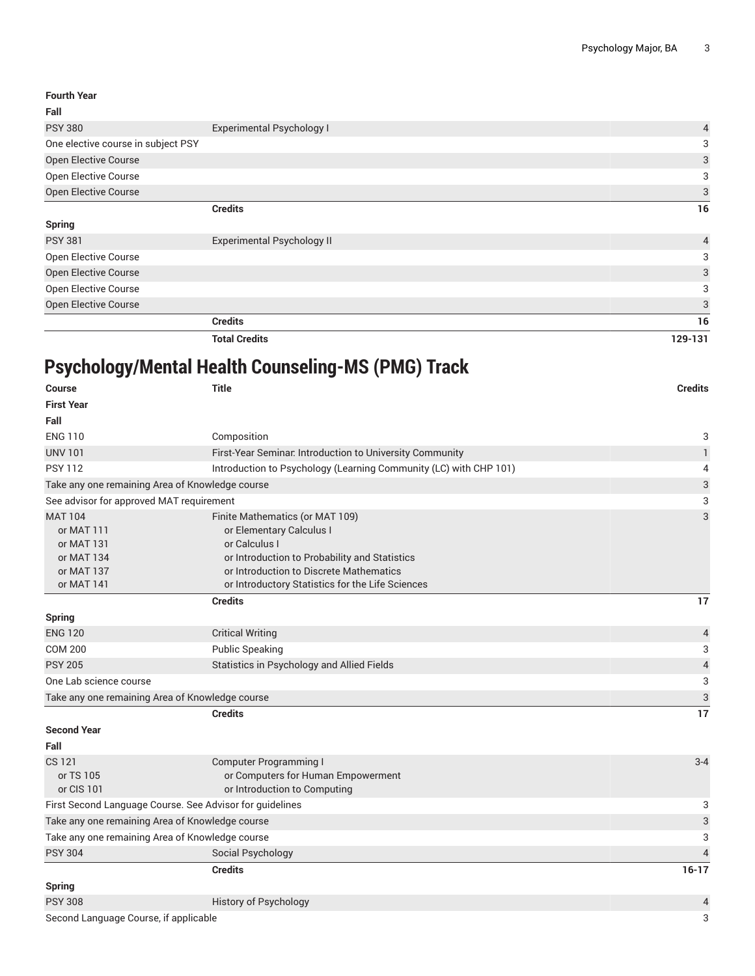| <b>Fourth Year</b>                 |                                   |                |
|------------------------------------|-----------------------------------|----------------|
| Fall                               |                                   |                |
| <b>PSY 380</b>                     | <b>Experimental Psychology I</b>  | 4              |
| One elective course in subject PSY |                                   | 3              |
| Open Elective Course               |                                   | 3              |
| Open Elective Course               |                                   | 3              |
| Open Elective Course               |                                   | 3              |
|                                    | <b>Credits</b>                    | 16             |
| <b>Spring</b>                      |                                   |                |
| <b>PSY 381</b>                     | <b>Experimental Psychology II</b> | $\overline{4}$ |
| Open Elective Course               |                                   | 3              |
| Open Elective Course               |                                   | 3              |
| Open Elective Course               |                                   | 3              |
| Open Elective Course               |                                   | 3              |
|                                    | <b>Credits</b>                    | 16             |

**Total Credits 129-131**

## **Psychology/Mental Health Counseling-MS (PMG) Track**

| <b>Course</b>                                            | <b>Title</b>                                                      | <b>Credits</b>            |
|----------------------------------------------------------|-------------------------------------------------------------------|---------------------------|
| <b>First Year</b>                                        |                                                                   |                           |
| Fall                                                     |                                                                   |                           |
| <b>ENG 110</b>                                           | Composition                                                       | 3                         |
| <b>UNV 101</b>                                           | First-Year Seminar. Introduction to University Community          | $\mathbf{1}$              |
| <b>PSY 112</b>                                           | Introduction to Psychology (Learning Community (LC) with CHP 101) | 4                         |
| Take any one remaining Area of Knowledge course          |                                                                   | 3                         |
| See advisor for approved MAT requirement                 |                                                                   | 3                         |
| <b>MAT 104</b>                                           | Finite Mathematics (or MAT 109)                                   | 3                         |
| or MAT 111                                               | or Elementary Calculus I                                          |                           |
| or MAT 131                                               | or Calculus I                                                     |                           |
| or MAT 134                                               | or Introduction to Probability and Statistics                     |                           |
| or MAT 137                                               | or Introduction to Discrete Mathematics                           |                           |
| or MAT 141                                               | or Introductory Statistics for the Life Sciences                  |                           |
|                                                          | <b>Credits</b>                                                    | 17                        |
| <b>Spring</b>                                            |                                                                   |                           |
| <b>ENG 120</b>                                           | <b>Critical Writing</b>                                           | 4                         |
| <b>COM 200</b>                                           | <b>Public Speaking</b>                                            | 3                         |
| <b>PSY 205</b>                                           | Statistics in Psychology and Allied Fields                        | $\sqrt{4}$                |
| One Lab science course                                   |                                                                   | 3                         |
| Take any one remaining Area of Knowledge course          |                                                                   | $\ensuremath{\mathsf{3}}$ |
|                                                          | <b>Credits</b>                                                    | 17                        |
| <b>Second Year</b>                                       |                                                                   |                           |
| Fall                                                     |                                                                   |                           |
| <b>CS 121</b>                                            | <b>Computer Programming I</b>                                     | $3 - 4$                   |
| or TS 105                                                | or Computers for Human Empowerment                                |                           |
| or CIS 101                                               | or Introduction to Computing                                      |                           |
| First Second Language Course. See Advisor for guidelines |                                                                   | 3                         |
| Take any one remaining Area of Knowledge course          |                                                                   | 3                         |
| Take any one remaining Area of Knowledge course          |                                                                   | 3                         |
| <b>PSY 304</b>                                           | Social Psychology                                                 | 4                         |
|                                                          | <b>Credits</b>                                                    | $16-17$                   |
| <b>Spring</b>                                            |                                                                   |                           |
| <b>PSY 308</b>                                           | <b>History of Psychology</b>                                      | 4                         |
| Second Language Course, if applicable                    |                                                                   | 3                         |